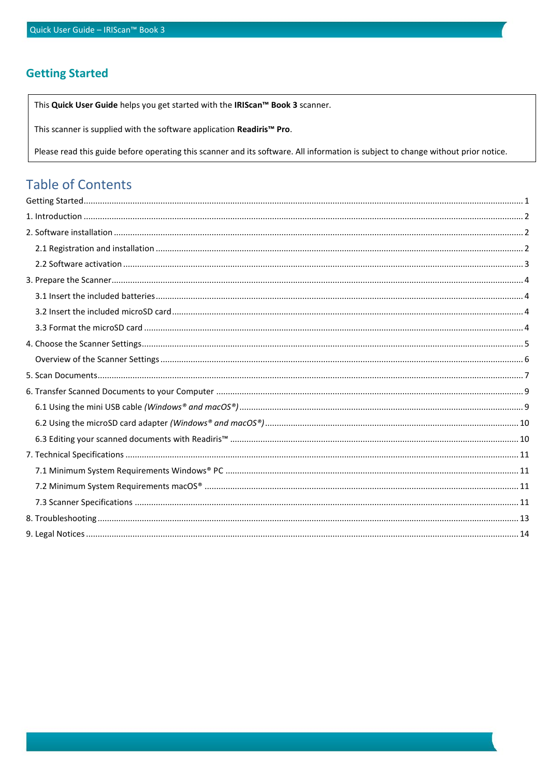# <span id="page-0-0"></span>**Getting Started**

This Quick User Guide helps you get started with the IRIScan™ Book 3 scanner.

This scanner is supplied with the software application Readiris<sup>™</sup> Pro.

Please read this guide before operating this scanner and its software. All information is subject to change without prior notice.

## **Table of Contents**  $\sim$   $\sim$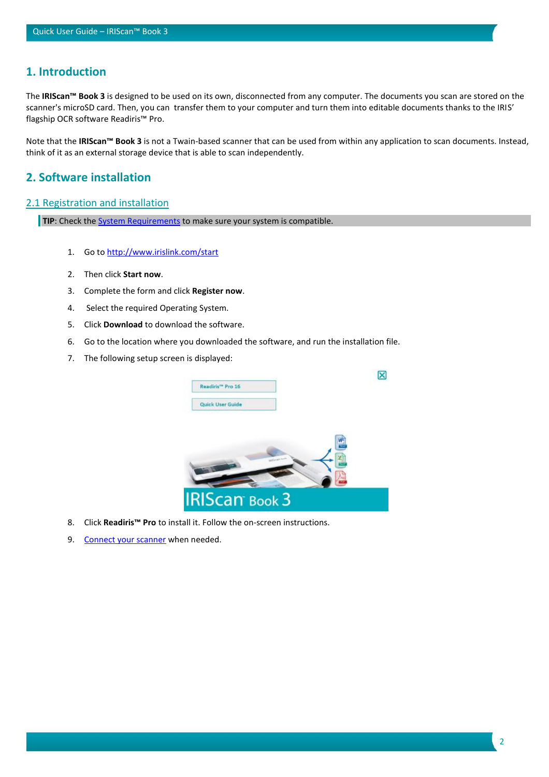## <span id="page-1-0"></span>**1. Introduction**

The **IRIScan™ Book 3** is designed to be used on its own, disconnected from any computer. The documents you scan are stored on the scanner's microSD card. Then, you can transfer them to your computer and turn them into editable documents thanks to the IRIS' flagship OCR software Readiris™ Pro.

Note that the **IRIScan™ Book 3** is not a Twain-based scanner that can be used from within any application to scan documents. Instead, think of it as an external storage device that is able to scan independently.

## <span id="page-1-1"></span>**2. Software installation**

## <span id="page-1-2"></span>2.1 Registration and installation

**TIP**: Check the **System Requirements** to make sure your system is compatible.

- 1. Go to [http://www.irislink.com/start](http://www.irislink.com/start/isb3)
- 2. Then click **Start now**.
- 3. Complete the form and click **Register now**.
- 4. Select the required Operating System.
- 5. Click **Download** to download the software.
- 6. Go to the location where you downloaded the software, and run the installation file.
- 7. The following setup screen is displayed:



- 8. Click **Readiris™ Pro** to install it. Follow the on-screen instructions.
- 9. [Connect your scanner](#page-8-0) when needed.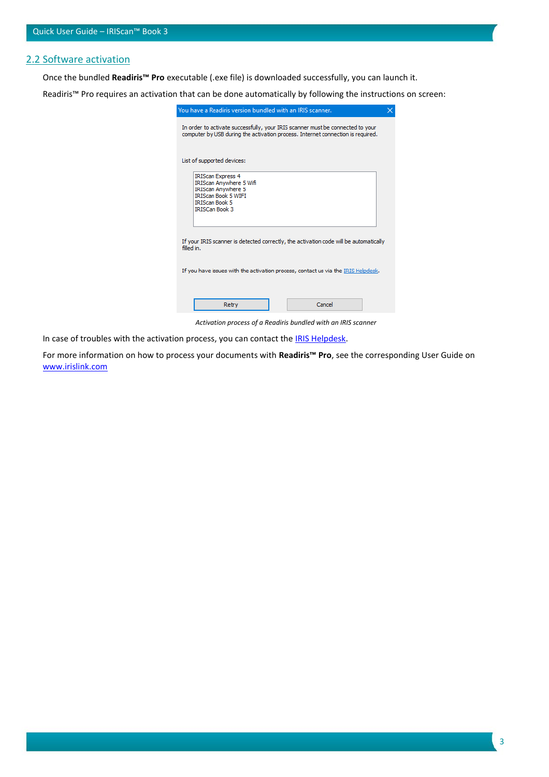#### <span id="page-2-0"></span>2.2 Software activation

Once the bundled **Readiris™ Pro** executable (.exe file) is downloaded successfully, you can launch it.

Readiris™ Pro requires an activation that can be done automatically by following the instructions on screen:

| You have a Readiris version bundled with an IRIS scanner.                                                                                                               |  |  |  |
|-------------------------------------------------------------------------------------------------------------------------------------------------------------------------|--|--|--|
| In order to activate successfully, your IRIS scanner must be connected to your<br>computer by USB during the activation process. Internet connection is required.       |  |  |  |
| List of supported devices:                                                                                                                                              |  |  |  |
| <b>IRIScan Express 4</b><br><b>IRIScan Anywhere 5 Wifi</b><br><b>IRIScan Anywhere 5</b><br><b>IRIScan Book 5 WIFI</b><br><b>IRIScan Book 5</b><br><b>IRISCan Book 3</b> |  |  |  |
| If your IRIS scanner is detected correctly, the activation code will be automatically<br>filled in.                                                                     |  |  |  |
| If you have issues with the activation process, contact us via the IRIS Helpdesk.                                                                                       |  |  |  |
| Cancel<br>Retry                                                                                                                                                         |  |  |  |

*Activation process of a Readiris bundled with an IRIS scanner*

In case of troubles with the activation process, you can contact the [IRIS Helpdesk.](http://www.irislink.com/support)

For more information on how to process your documents with **Readiris™ Pro**, see the corresponding User Guide on [www.irislink.com](http://www.irislink.com/support/readiris16)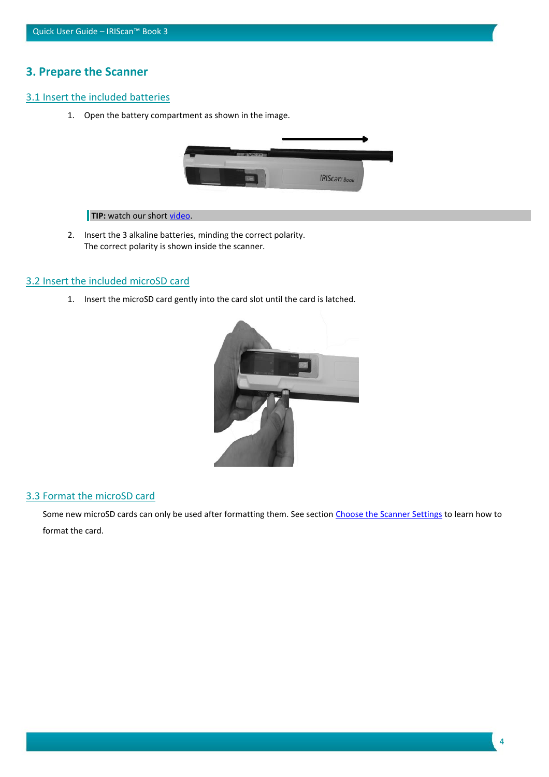# <span id="page-3-0"></span>**3. Prepare the Scanner**

## <span id="page-3-1"></span>3.1 Insert the included batteries

1. Open the battery compartment as shown in the image.



**TIP:** watch our short video.

2. Insert the 3 alkaline batteries, minding the correct polarity. The correct polarity is shown inside the scanner.

## <span id="page-3-2"></span>3.2 Insert the included microSD card

1. Insert the microSD card gently into the card slot until the card is latched.



#### <span id="page-3-3"></span>3.3 Format the microSD card

Some new microSD cards can only be used after formatting them. See section [Choose the Scanner Settings](#page-4-0) to learn how to format the card.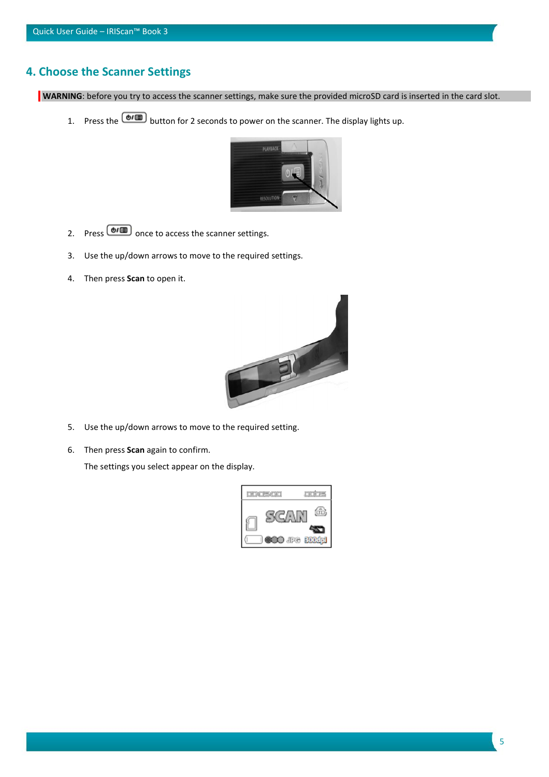# <span id="page-4-0"></span>**4. Choose the Scanner Settings**

**WARNING**: before you try to access the scanner settings, make sure the provided microSD card is inserted in the card slot.

1. Press the  $\boxed{\oplus I}$  button for 2 seconds to power on the scanner. The display lights up.



- 2. Press  $\boxed{\oplus I}$  once to access the scanner settings.
- 3. Use the up/down arrows to move to the required settings.
- 4. Then press **Scan** to open it.



- 5. Use the up/down arrows to move to the required setting.
- 6. Then press **Scan** again to confirm.

The settings you select appear on the display.

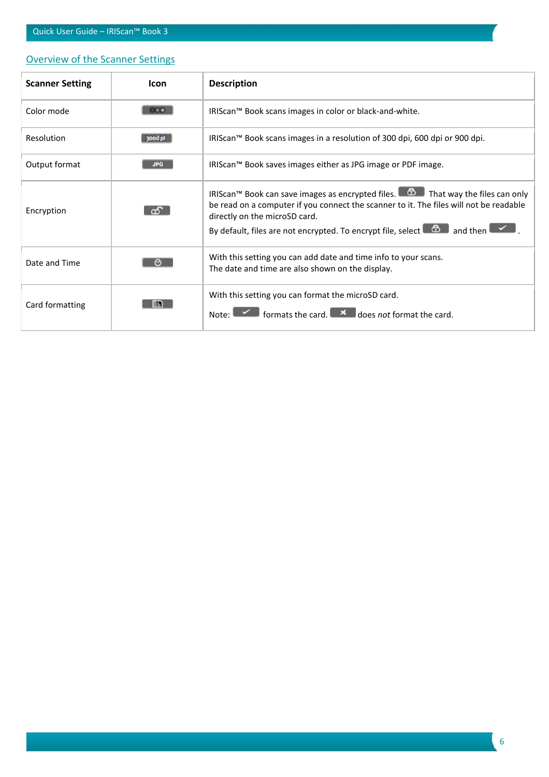## Quick User Guide – IRIScan™ Book 3

# <span id="page-5-0"></span>Overview of the Scanner Settings

| <b>Scanner Setting</b> | <b>Icon</b>  | <b>Description</b>                                                                                                                                                                                                                                                                              |
|------------------------|--------------|-------------------------------------------------------------------------------------------------------------------------------------------------------------------------------------------------------------------------------------------------------------------------------------------------|
| Color mode             | $\infty$     | IRIScan™ Book scans images in color or black-and-white.                                                                                                                                                                                                                                         |
| Resolution             | 300dpl       | IRIScan <sup>™</sup> Book scans images in a resolution of 300 dpi, 600 dpi or 900 dpi.                                                                                                                                                                                                          |
| Output format          | <b>JPG</b>   | IRIScan™ Book saves images either as JPG image or PDF image.                                                                                                                                                                                                                                    |
| Encryption             | $\mathbf{c}$ | IRIScan™ Book can save images as encrypted files. $\Box$ That way the files can only<br>be read on a computer if you connect the scanner to it. The files will not be readable<br>directly on the microSD card.<br>By default, files are not encrypted. To encrypt file, select $\Box$ and then |
| Date and Time          | O            | With this setting you can add date and time info to your scans.<br>The date and time are also shown on the display.                                                                                                                                                                             |
| Card formatting        | m            | With this setting you can format the microSD card.<br>formats the card. $\Box$ $\blacksquare$ does not format the card.<br>Note:                                                                                                                                                                |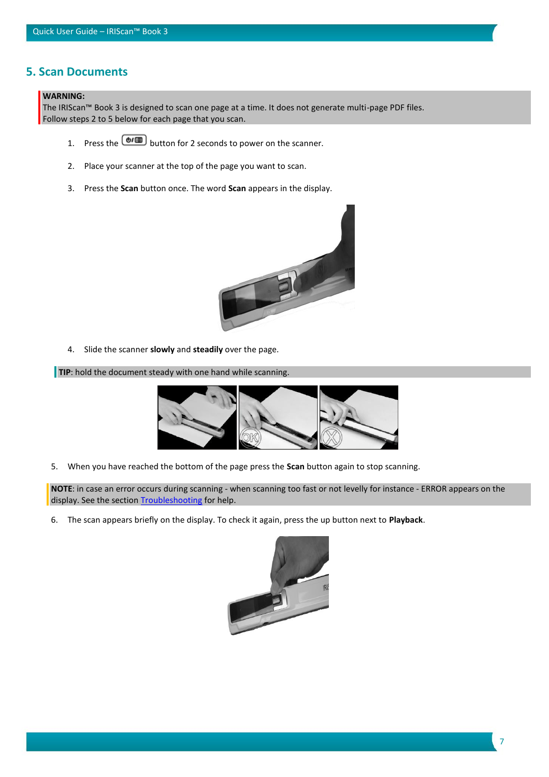## <span id="page-6-0"></span>**5. Scan Documents**

#### **WARNING:**

The IRIScan™ Book 3 is designed to scan one page at a time. It does not generate multi-page PDF files. Follow steps 2 to 5 below for each page that you scan.

- 1. Press the  $\circled{b}$  button for 2 seconds to power on the scanner.
- 2. Place your scanner at the top of the page you want to scan.
- 3. Press the **Scan** button once. The word **Scan** appears in the display.



4. Slide the scanner **slowly** and **steadily** over the page.

**TIP**: hold the document steady with one hand while scanning.



5. When you have reached the bottom of the page press the **Scan** button again to stop scanning.

**NOTE**: in case an error occurs during scanning - when scanning too fast or not levelly for instance - ERROR appears on the display. See the sectio[n Troubleshooting](#page-12-0) for help.

6. The scan appears briefly on the display. To check it again, press the up button next to **Playback**.

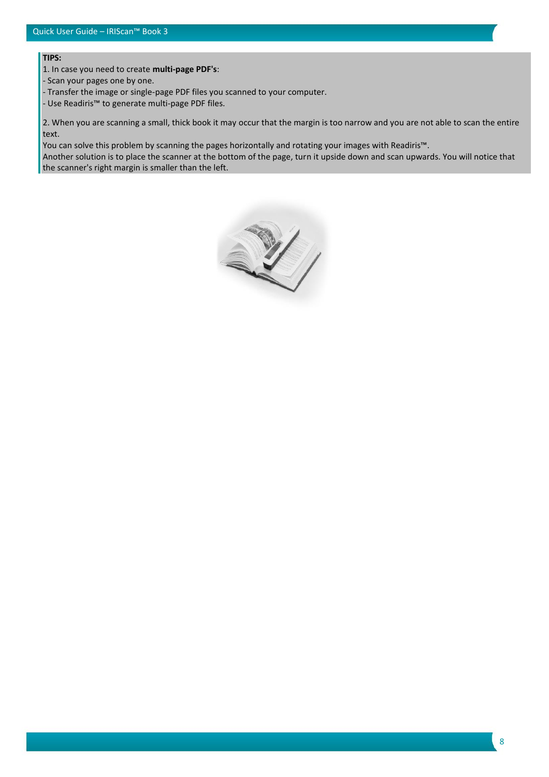**TIPS:**

1. In case you need to create **multi-page PDF's**:

- Scan your pages one by one.

- Transfer the image or single-page PDF files you scanned to your computer.

- Use Readiris™ to generate multi-page PDF files.

2. When you are scanning a small, thick book it may occur that the margin is too narrow and you are not able to scan the entire text.

You can solve this problem by scanning the pages horizontally and rotating your images with Readiris™.

Another solution is to place the scanner at the bottom of the page, turn it upside down and scan upwards. You will notice that the scanner's right margin is smaller than the left.

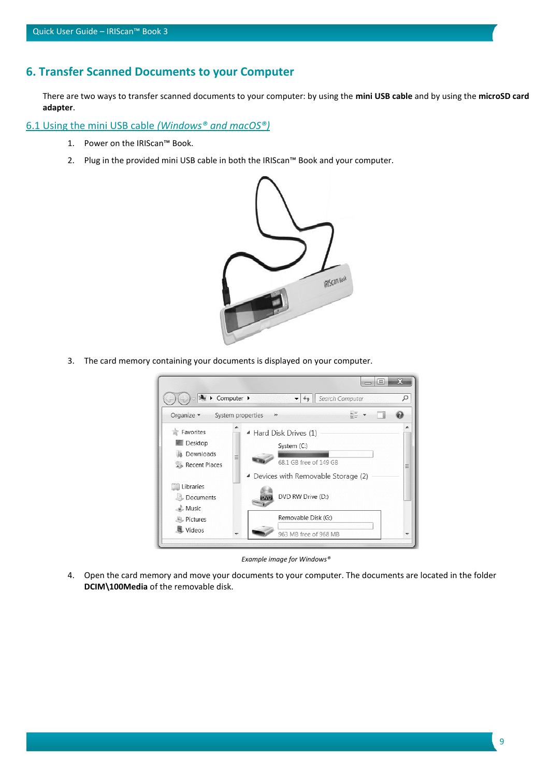## <span id="page-8-0"></span>**6. Transfer Scanned Documents to your Computer**

There are two ways to transfer scanned documents to your computer: by using the **mini USB cable** and by using the **microSD card adapter**.

<span id="page-8-1"></span>6.1 Using the mini USB cable *(Windows® and macOS®)*

- 1. Power on the IRIScan™ Book.
- 2. Plug in the provided mini USB cable in both the IRIScan™ Book and your computer.



3. The card memory containing your documents is displayed on your computer.



*Example image for Windows®*

4. Open the card memory and move your documents to your computer. The documents are located in the folder **DCIM\100Media** of the removable disk.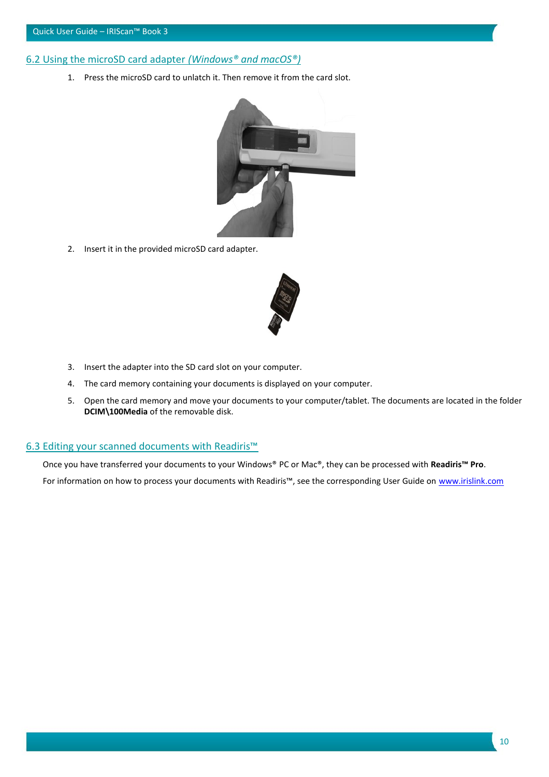## <span id="page-9-0"></span>6.2 Using the microSD card adapter *(Windows® and macOS®)*

1. Press the microSD card to unlatch it. Then remove it from the card slot.



2. Insert it in the provided microSD card adapter.



- 3. Insert the adapter into the SD card slot on your computer.
- 4. The card memory containing your documents is displayed on your computer.
- 5. Open the card memory and move your documents to your computer/tablet. The documents are located in the folder **DCIM\100Media** of the removable disk.

#### <span id="page-9-1"></span>6.3 Editing your scanned documents with Readiris<sup>™</sup>

Once you have transferred your documents to your Windows® PC or Mac®, they can be processed with **Readiris™ Pro**. For information on how to process your documents with Readiris™, see the corresponding User Guide on [www.irislink.com](http://www.irislink.com/support/readiris16)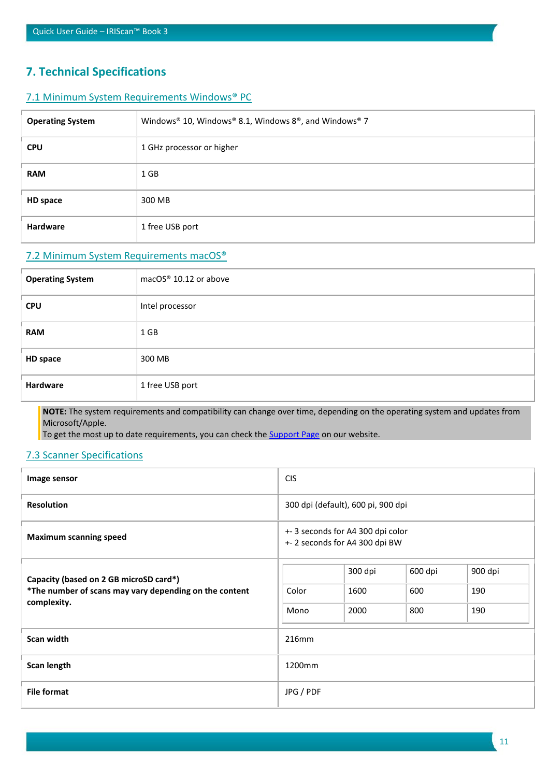# <span id="page-10-0"></span>**7. Technical Specifications**

## <span id="page-10-1"></span>7.1 Minimum System Requirements Windows® PC

| <b>Operating System</b> | Windows® 10, Windows® 8.1, Windows $8^{\circ}$ , and Windows® 7 |
|-------------------------|-----------------------------------------------------------------|
| <b>CPU</b>              | 1 GHz processor or higher                                       |
| <b>RAM</b>              | $1$ GB                                                          |
| HD space                | 300 MB                                                          |
| Hardware                | 1 free USB port                                                 |

## <span id="page-10-2"></span>7.2 Minimum System Requirements macOS®

| <b>Operating System</b> | macOS® 10.12 or above |
|-------------------------|-----------------------|
| <b>CPU</b>              | Intel processor       |
| <b>RAM</b>              | 1 GB                  |
| HD space                | 300 MB                |
| Hardware                | 1 free USB port       |

**NOTE:** The system requirements and compatibility can change over time, depending on the operating system and updates from Microsoft/Apple.

To get the most up to date requirements, you can check the [Support Page](http://www.irislink.com/support/iriscanbook) on our website.

### <span id="page-10-3"></span>7.3 Scanner Specifications

| Image sensor                                           | <b>CIS</b>                                                        |         |         |         |
|--------------------------------------------------------|-------------------------------------------------------------------|---------|---------|---------|
| <b>Resolution</b>                                      | 300 dpi (default), 600 pi, 900 dpi                                |         |         |         |
| <b>Maximum scanning speed</b>                          | +-3 seconds for A4 300 dpi color<br>+-2 seconds for A4 300 dpi BW |         |         |         |
| Capacity (based on 2 GB microSD card*)                 |                                                                   | 300 dpi | 600 dpi | 900 dpi |
| *The number of scans may vary depending on the content | Color                                                             | 1600    | 600     | 190     |
| complexity.                                            | Mono                                                              | 2000    | 800     | 190     |
| Scan width                                             | 216mm                                                             |         |         |         |
| Scan length                                            | 1200mm                                                            |         |         |         |
| <b>File format</b>                                     | JPG / PDF                                                         |         |         |         |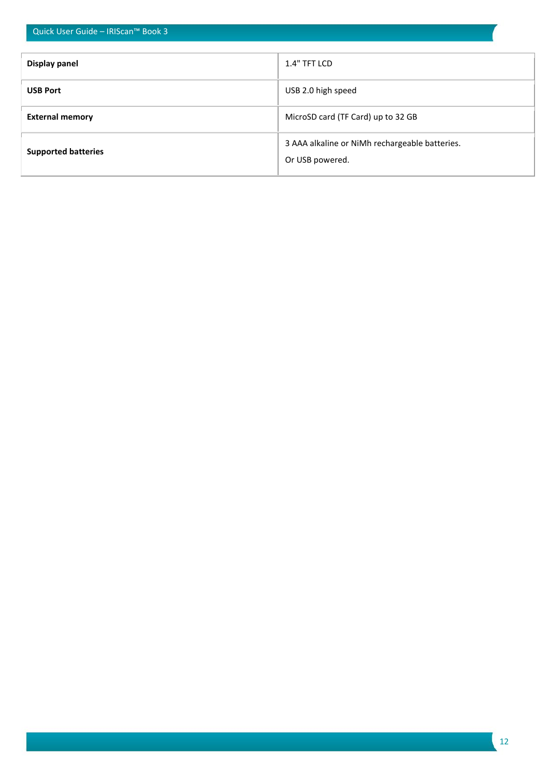| Quick User Guide - IRIScan™ Book 3 |                                                                   |  |
|------------------------------------|-------------------------------------------------------------------|--|
| Display panel                      | 1.4" TFT LCD                                                      |  |
| <b>USB Port</b>                    | USB 2.0 high speed                                                |  |
| <b>External memory</b>             | MicroSD card (TF Card) up to 32 GB                                |  |
| <b>Supported batteries</b>         | 3 AAA alkaline or NiMh rechargeable batteries.<br>Or USB powered. |  |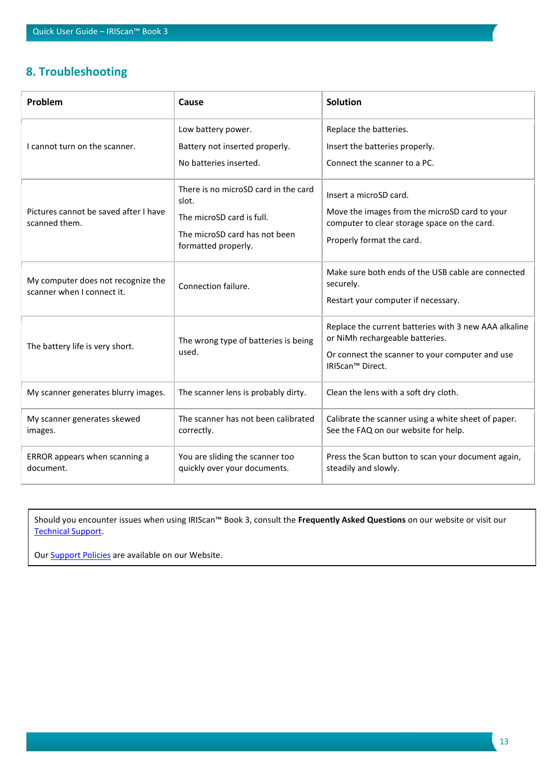# <span id="page-12-0"></span>**8. Troubleshooting**

| Problem                                                          | Cause                                                                                                                              | <b>Solution</b>                                                                                                                                                 |
|------------------------------------------------------------------|------------------------------------------------------------------------------------------------------------------------------------|-----------------------------------------------------------------------------------------------------------------------------------------------------------------|
| I cannot turn on the scanner.                                    | Low battery power.<br>Battery not inserted properly.<br>No batteries inserted.                                                     | Replace the batteries.<br>Insert the batteries properly.<br>Connect the scanner to a PC.                                                                        |
| Pictures cannot be saved after I have<br>scanned them.           | There is no microSD card in the card<br>slot.<br>The microSD card is full.<br>The microSD card has not been<br>formatted properly. | Insert a microSD card.<br>Move the images from the microSD card to your<br>computer to clear storage space on the card.<br>Properly format the card.            |
| My computer does not recognize the<br>scanner when I connect it. | Connection failure.                                                                                                                | Make sure both ends of the USB cable are connected<br>securely.<br>Restart your computer if necessary.                                                          |
| The battery life is very short.                                  | The wrong type of batteries is being<br>used.                                                                                      | Replace the current batteries with 3 new AAA alkaline<br>or NiMh rechargeable batteries.<br>Or connect the scanner to your computer and use<br>IRIScan™ Direct. |
| My scanner generates blurry images.                              | The scanner lens is probably dirty.                                                                                                | Clean the lens with a soft dry cloth.                                                                                                                           |
| My scanner generates skewed<br>images.                           | The scanner has not been calibrated<br>correctly.                                                                                  | Calibrate the scanner using a white sheet of paper.<br>See the FAQ on our website for help.                                                                     |
| ERROR appears when scanning a<br>document.                       | You are sliding the scanner too<br>quickly over your documents.                                                                    | Press the Scan button to scan your document again,<br>steadily and slowly.                                                                                      |

Should you encounter issues when using IRIScan™ Book 3, consult the **Frequently Asked Questions** on our website or visit our [Technical Support.](http://www.irislink.com/support/iriscanbook)

Our **Support Policies** are available on our Website.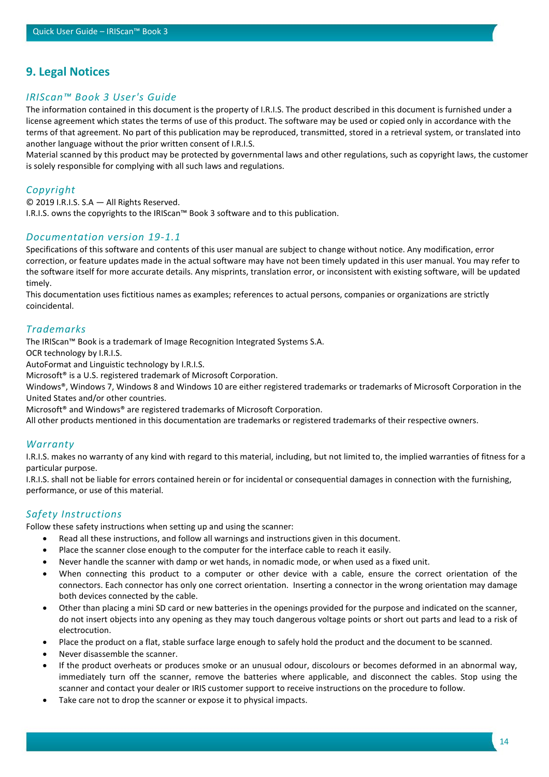# <span id="page-13-0"></span>**9. Legal Notices**

## *IRIScan™ Book 3 User's Guide*

The information contained in this document is the property of I.R.I.S. The product described in this document is furnished under a license agreement which states the terms of use of this product. The software may be used or copied only in accordance with the terms of that agreement. No part of this publication may be reproduced, transmitted, stored in a retrieval system, or translated into another language without the prior written consent of I.R.I.S.

Material scanned by this product may be protected by governmental laws and other regulations, such as copyright laws, the customer is solely responsible for complying with all such laws and regulations.

## *Copyright*

© 2019 I.R.I.S. S.A — All Rights Reserved.

I.R.I.S. owns the copyrights to the IRIScan™ Book 3 software and to this publication.

## *Documentation version 19-1.1*

Specifications of this software and contents of this user manual are subject to change without notice. Any modification, error correction, or feature updates made in the actual software may have not been timely updated in this user manual. You may refer to the software itself for more accurate details. Any misprints, translation error, or inconsistent with existing software, will be updated timely.

This documentation uses fictitious names as examples; references to actual persons, companies or organizations are strictly coincidental.

## *Trademarks*

The IRIScan™ Book is a trademark of Image Recognition Integrated Systems S.A.

OCR technology by I.R.I.S.

AutoFormat and Linguistic technology by I.R.I.S.

Microsoft® is a U.S. registered trademark of Microsoft Corporation.

Windows®, Windows 7, Windows 8 and Windows 10 are either registered trademarks or trademarks of Microsoft Corporation in the United States and/or other countries.

Microsoft® and Windows® are registered trademarks of Microsoft Corporation.

All other products mentioned in this documentation are trademarks or registered trademarks of their respective owners.

## *Warranty*

I.R.I.S. makes no warranty of any kind with regard to this material, including, but not limited to, the implied warranties of fitness for a particular purpose.

I.R.I.S. shall not be liable for errors contained herein or for incidental or consequential damages in connection with the furnishing, performance, or use of this material.

## *Safety Instructions*

Follow these safety instructions when setting up and using the scanner:

- Read all these instructions, and follow all warnings and instructions given in this document.
- Place the scanner close enough to the computer for the interface cable to reach it easily.
- Never handle the scanner with damp or wet hands, in nomadic mode, or when used as a fixed unit.
- When connecting this product to a computer or other device with a cable, ensure the correct orientation of the connectors. Each connector has only one correct orientation. Inserting a connector in the wrong orientation may damage both devices connected by the cable.
- Other than placing a mini SD card or new batteries in the openings provided for the purpose and indicated on the scanner, do not insert objects into any opening as they may touch dangerous voltage points or short out parts and lead to a risk of electrocution.
- Place the product on a flat, stable surface large enough to safely hold the product and the document to be scanned.
- Never disassemble the scanner.
- If the product overheats or produces smoke or an unusual odour, discolours or becomes deformed in an abnormal way, immediately turn off the scanner, remove the batteries where applicable, and disconnect the cables. Stop using the scanner and contact your dealer or IRIS customer support to receive instructions on the procedure to follow.
- Take care not to drop the scanner or expose it to physical impacts.

14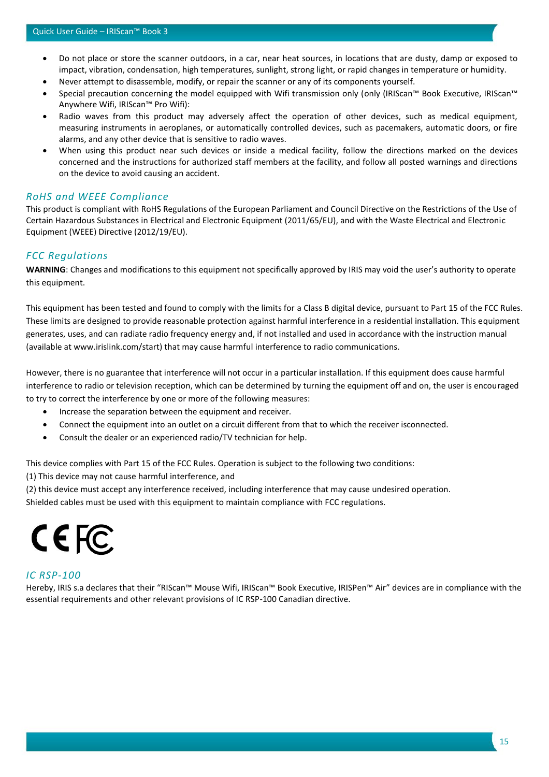- Do not place or store the scanner outdoors, in a car, near heat sources, in locations that are dusty, damp or exposed to impact, vibration, condensation, high temperatures, sunlight, strong light, or rapid changes in temperature or humidity.
- Never attempt to disassemble, modify, or repair the scanner or any of its components yourself.
- Special precaution concerning the model equipped with Wifi transmission only (only (IRIScan™ Book Executive, IRIScan™ Anywhere Wifi, IRIScan™ Pro Wifi):
- Radio waves from this product may adversely affect the operation of other devices, such as medical equipment, measuring instruments in aeroplanes, or automatically controlled devices, such as pacemakers, automatic doors, or fire alarms, and any other device that is sensitive to radio waves.
- When using this product near such devices or inside a medical facility, follow the directions marked on the devices concerned and the instructions for authorized staff members at the facility, and follow all posted warnings and directions on the device to avoid causing an accident.

#### *RoHS and WEEE Compliance*

This product is compliant with RoHS Regulations of the European Parliament and Council Directive on the Restrictions of the Use of Certain Hazardous Substances in Electrical and Electronic Equipment (2011/65/EU), and with the Waste Electrical and Electronic Equipment (WEEE) Directive (2012/19/EU).

#### *FCC Regulations*

**WARNING**: Changes and modifications to this equipment not specifically approved by IRIS may void the user's authority to operate this equipment.

This equipment has been tested and found to comply with the limits for a Class B digital device, pursuant to Part 15 of the FCC Rules. These limits are designed to provide reasonable protection against harmful interference in a residential installation. This equipment generates, uses, and can radiate radio frequency energy and, if not installed and used in accordance with the instruction manual (available at www.irislink.com/start) that may cause harmful interference to radio communications.

However, there is no guarantee that interference will not occur in a particular installation. If this equipment does cause harmful interference to radio or television reception, which can be determined by turning the equipment off and on, the user is encouraged to try to correct the interference by one or more of the following measures:

- Increase the separation between the equipment and receiver.
- Connect the equipment into an outlet on a circuit different from that to which the receiver isconnected.
- Consult the dealer or an experienced radio/TV technician for help.

This device complies with Part 15 of the FCC Rules. Operation is subject to the following two conditions:

(1) This device may not cause harmful interference, and

(2) this device must accept any interference received, including interference that may cause undesired operation.

Shielded cables must be used with this equipment to maintain compliance with FCC regulations.

# CE FC

#### *IC RSP-100*

Hereby, IRIS s.a declares that their "RIScan™ Mouse Wifi, IRIScan™ Book Executive, IRISPen™ Air" devices are in compliance with the essential requirements and other relevant provisions of IC RSP-100 Canadian directive.